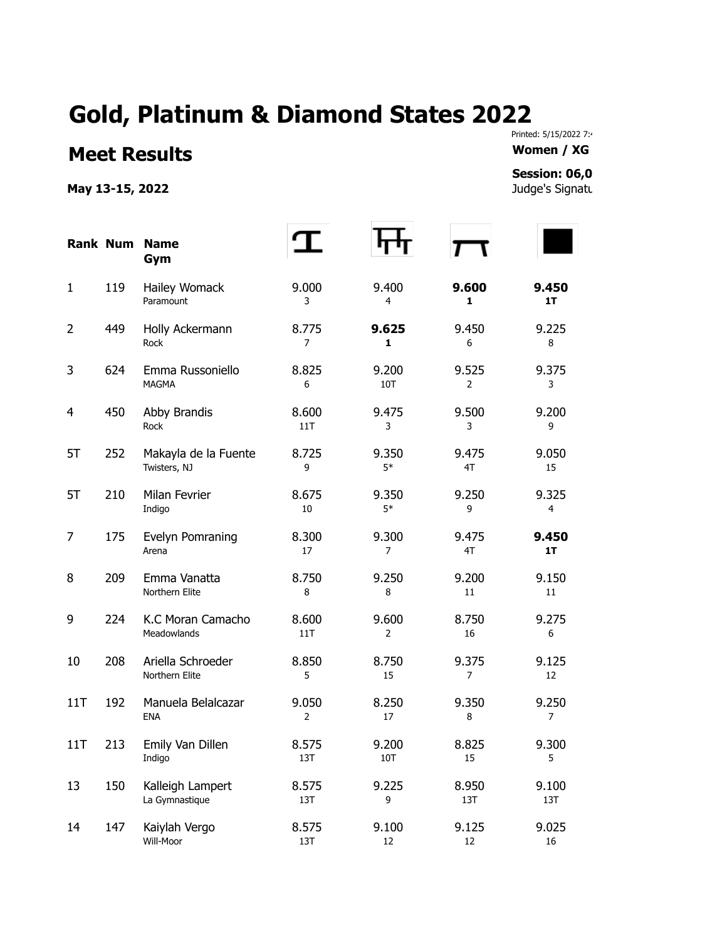# **Gold, Platinum & Diamond States 2022**

# **Meet Results Women / XG**

### **May 13-15, 2022** Judge's Signatures **May 13-15, 2022**

Printed: 5/15/2022 7:

## **Session: 06,0**

|                |     | <b>Rank Num Name</b><br>Gym          |                         |                         |                         |              |
|----------------|-----|--------------------------------------|-------------------------|-------------------------|-------------------------|--------------|
| $\mathbf{1}$   | 119 | Hailey Womack<br>Paramount           | 9.000<br>3              | 9.400<br>4              | 9.600<br>1              | 9.450<br>1T  |
| $\overline{2}$ | 449 | Holly Ackermann<br>Rock              | 8.775<br>$\overline{7}$ | 9.625<br>1              | 9.450<br>6              | 9.225<br>8   |
| 3              | 624 | Emma Russoniello<br><b>MAGMA</b>     | 8.825<br>6              | 9.200<br>10T            | 9.525<br>$\overline{2}$ | 9.375<br>3   |
| 4              | 450 | Abby Brandis<br>Rock                 | 8.600<br>11T            | 9.475<br>3              | 9.500<br>3              | 9.200<br>9   |
| 5T             | 252 | Makayla de la Fuente<br>Twisters, NJ | 8.725<br>9              | 9.350<br>$5*$           | 9.475<br>4T             | 9.050<br>15  |
| 5T             | 210 | Milan Fevrier<br>Indigo              | 8.675<br>10             | 9.350<br>$5*$           | 9.250<br>9              | 9.325<br>4   |
| 7              | 175 | Evelyn Pomraning<br>Arena            | 8.300<br>17             | 9.300<br>$\overline{7}$ | 9.475<br>4T             | 9.450<br>1T  |
| 8              | 209 | Emma Vanatta<br>Northern Elite       | 8.750<br>8              | 9.250<br>8              | 9.200<br>11             | 9.150<br>11  |
| 9              | 224 | K.C Moran Camacho<br>Meadowlands     | 8.600<br>11T            | 9.600<br>$\overline{2}$ | 8.750<br>16             | 9.275<br>6   |
| 10             | 208 | Ariella Schroeder<br>Northern Elite  | 8.850<br>5              | 8.750<br>15             | 9.375<br>7              | 9.125<br>12  |
| 11T            | 192 | Manuela Belalcazar<br><b>ENA</b>     | 9.050<br>2              | 8.250<br>17             | 9.350<br>8              | 9.250<br>7   |
| 11T            | 213 | Emily Van Dillen<br>Indigo           | 8.575<br>13T            | 9.200<br>10T            | 8.825<br>15             | 9.300<br>5   |
| 13             | 150 | Kalleigh Lampert<br>La Gymnastique   | 8.575<br>13T            | 9.225<br>9              | 8.950<br>13T            | 9.100<br>13T |
| 14             | 147 | Kaiylah Vergo<br>Will-Moor           | 8.575<br>13T            | 9.100<br>$12\,$         | 9.125<br>12             | 9.025<br>16  |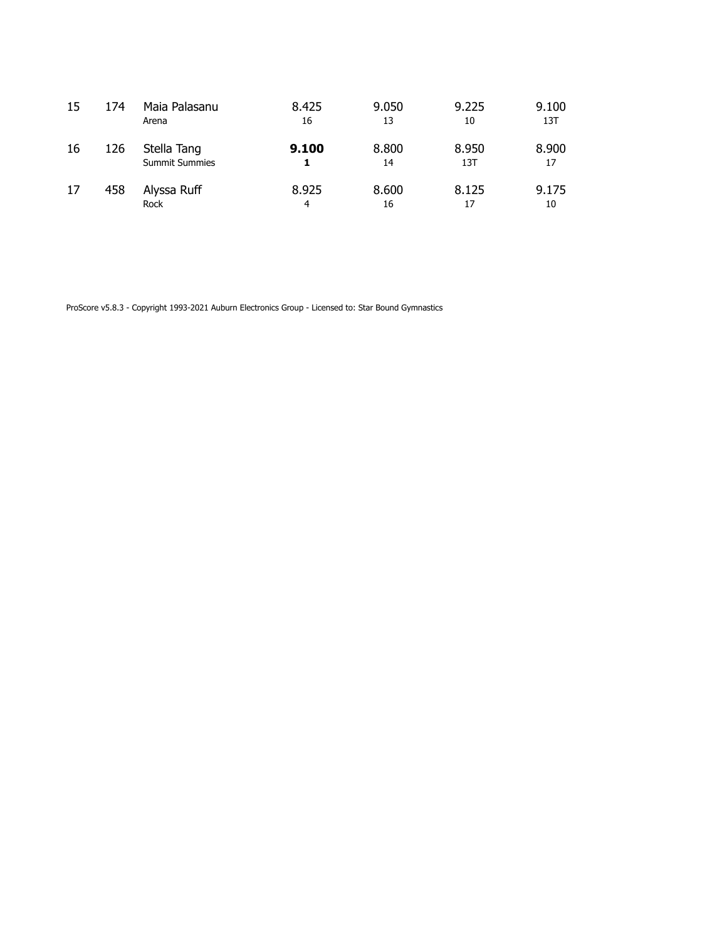| 15 | 174 | Maia Palasanu<br>Arena               | 8.425<br>16 | 9.050<br>13 | 9.225<br>10  | 9.100<br>13T |
|----|-----|--------------------------------------|-------------|-------------|--------------|--------------|
| 16 | 126 | Stella Tang<br><b>Summit Summies</b> | 9.100       | 8.800<br>14 | 8.950<br>13T | 8.900<br>17  |
| 17 | 458 | Alyssa Ruff<br>Rock                  | 8.925<br>4  | 8.600<br>16 | 8.125<br>17  | 9.175<br>10  |

ProScore v5.8.3 - Copyright 1993-2021 Auburn Electronics Group - Licensed to: Star Bound Gymnastics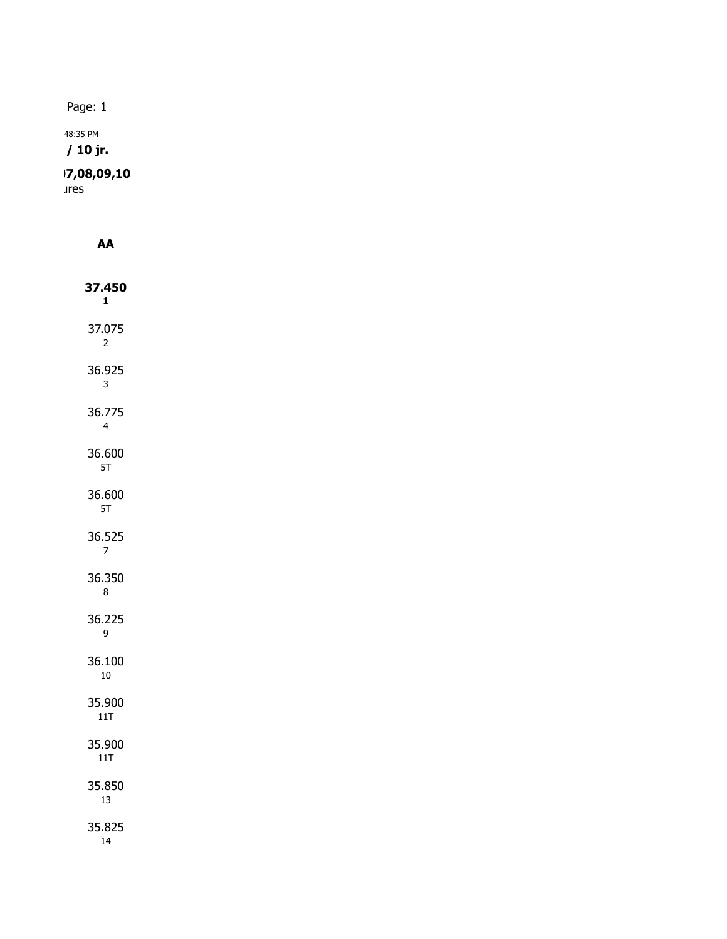Page: 1

#### 48:35 PM / 10 jr.

## **Session: 06,07,08,09,10**

Jres

| AA                       |  |
|--------------------------|--|
| 37.450<br>1              |  |
| 37.075<br>2              |  |
| 36.925<br>3              |  |
| 36.775<br>$\overline{4}$ |  |
| 36.600<br>5T             |  |
| 36.600<br>5T             |  |
| 36.525<br>7              |  |
| 36.350<br>8              |  |
| 36.225<br>9              |  |
| 36.100<br>10             |  |
| 35.900<br>$11$ T         |  |
| 35.900<br>11T            |  |
| 35.850<br>13             |  |
| 35.825<br>14             |  |